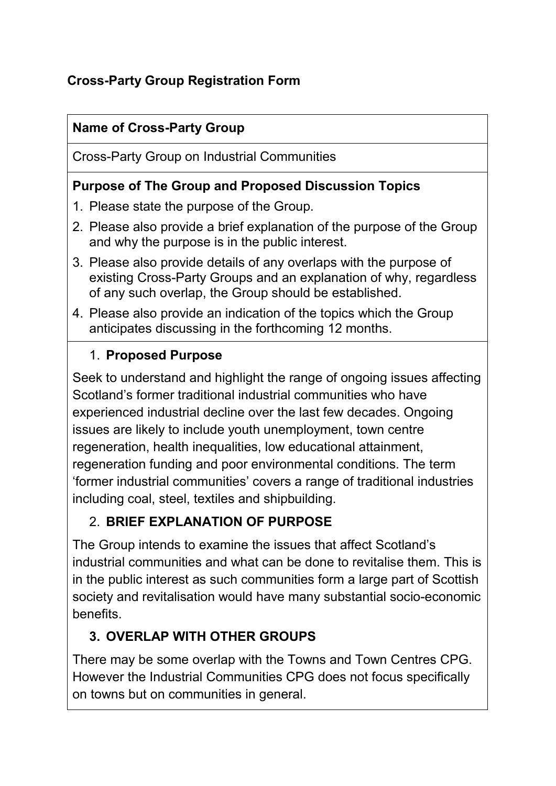## **Cross-Party Group Registration Form**

# **Name of Cross-Party Group**

Cross-Party Group on Industrial Communities

## **Purpose of The Group and Proposed Discussion Topics**

- 1. Please state the purpose of the Group.
- 2. Please also provide a brief explanation of the purpose of the Group and why the purpose is in the public interest.
- 3. Please also provide details of any overlaps with the purpose of existing Cross-Party Groups and an explanation of why, regardless of any such overlap, the Group should be established.
- 4. Please also provide an indication of the topics which the Group anticipates discussing in the forthcoming 12 months.

## 1. **Proposed Purpose**

Seek to understand and highlight the range of ongoing issues affecting Scotland's former traditional industrial communities who have experienced industrial decline over the last few decades. Ongoing issues are likely to include youth unemployment, town centre regeneration, health inequalities, low educational attainment, regeneration funding and poor environmental conditions. The term 'former industrial communities' covers a range of traditional industries including coal, steel, textiles and shipbuilding.

# 2. **BRIEF EXPLANATION OF PURPOSE**

The Group intends to examine the issues that affect Scotland's industrial communities and what can be done to revitalise them. This is in the public interest as such communities form a large part of Scottish society and revitalisation would have many substantial socio-economic benefits.

# **3. OVERLAP WITH OTHER GROUPS**

There may be some overlap with the Towns and Town Centres CPG. However the Industrial Communities CPG does not focus specifically on towns but on communities in general.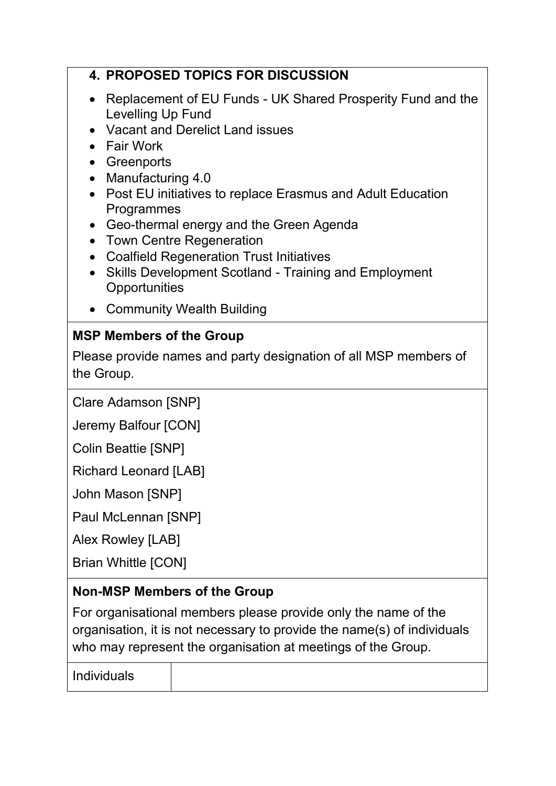#### **4. PROPOSED TOPICS FOR DISCUSSION**

- Replacement of EU Funds UK Shared Prosperity Fund and the Levelling Up Fund
- Vacant and Derelict Land issues
- Fair Work
- Greenports
- Manufacturing 4.0
- Post EU initiatives to replace Erasmus and Adult Education Programmes
- Geo-thermal energy and the Green Agenda
- Town Centre Regeneration
- Coalfield Regeneration Trust Initiatives
- Skills Development Scotland Training and Employment **Opportunities**
- Community Wealth Building

#### **MSP Members of the Group**

Please provide names and party designation of all MSP members of the Group.

Clare Adamson [SNP]

Jeremy Balfour [CON]

Colin Beattie [SNP]

Richard Leonard [LAB]

John Mason [SNP]

Paul McLennan [SNP]

Alex Rowley [LAB]

Brian Whittle [CON]

#### **Non-MSP Members of the Group**

For organisational members please provide only the name of the organisation, it is not necessary to provide the name(s) of individuals who may represent the organisation at meetings of the Group.

Individuals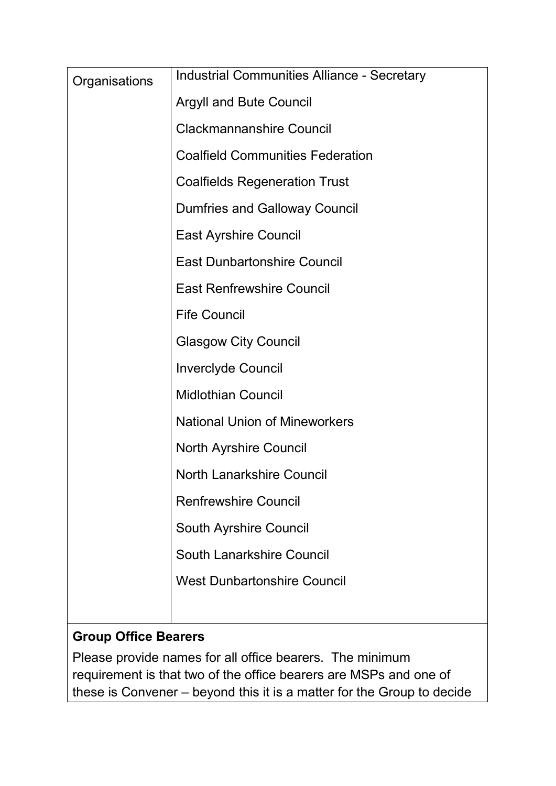| Organisations | <b>Industrial Communities Alliance - Secretary</b> |
|---------------|----------------------------------------------------|
|               | <b>Argyll and Bute Council</b>                     |
|               | <b>Clackmannanshire Council</b>                    |
|               | <b>Coalfield Communities Federation</b>            |
|               | <b>Coalfields Regeneration Trust</b>               |
|               | <b>Dumfries and Galloway Council</b>               |
|               | <b>East Ayrshire Council</b>                       |
|               | <b>East Dunbartonshire Council</b>                 |
|               | <b>East Renfrewshire Council</b>                   |
|               | <b>Fife Council</b>                                |
|               | <b>Glasgow City Council</b>                        |
|               | <b>Inverclyde Council</b>                          |
|               | <b>Midlothian Council</b>                          |
|               | <b>National Union of Mineworkers</b>               |
|               | <b>North Ayrshire Council</b>                      |
|               | <b>North Lanarkshire Council</b>                   |
|               | <b>Renfrewshire Council</b>                        |
|               | <b>South Ayrshire Council</b>                      |
|               | South Lanarkshire Council                          |
|               | <b>West Dunbartonshire Council</b>                 |
|               |                                                    |

# **Group Office Bearers**

Please provide names for all office bearers. The minimum requirement is that two of the office bearers are MSPs and one of these is Convener – beyond this it is a matter for the Group to decide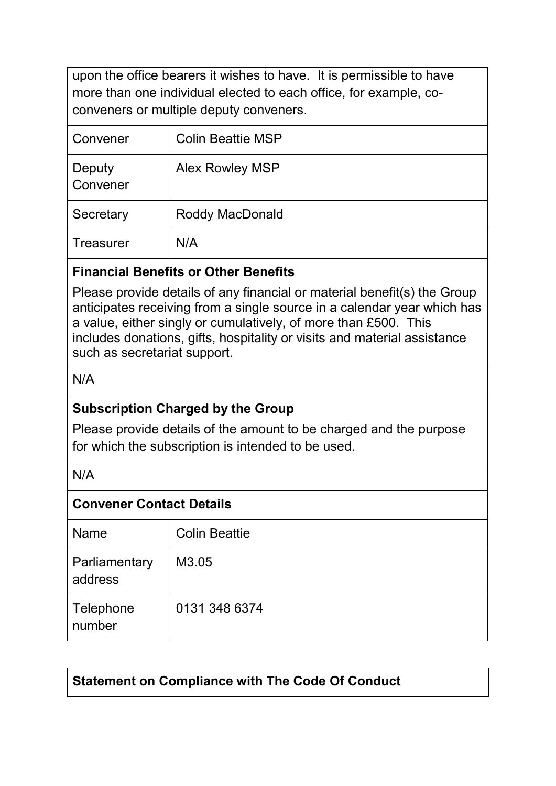upon the office bearers it wishes to have. It is permissible to have more than one individual elected to each office, for example, coconveners or multiple deputy conveners.

| Convener           | <b>Colin Beattie MSP</b> |
|--------------------|--------------------------|
| Deputy<br>Convener | <b>Alex Rowley MSP</b>   |
| Secretary          | <b>Roddy MacDonald</b>   |
| <b>Treasurer</b>   | N/A                      |

#### **Financial Benefits or Other Benefits**

Please provide details of any financial or material benefit(s) the Group anticipates receiving from a single source in a calendar year which has a value, either singly or cumulatively, of more than £500. This includes donations, gifts, hospitality or visits and material assistance such as secretariat support.

N/A

## **Subscription Charged by the Group**

Please provide details of the amount to be charged and the purpose for which the subscription is intended to be used.

N/A

#### **Convener Contact Details**

| <b>Name</b>              | <b>Colin Beattie</b> |
|--------------------------|----------------------|
| Parliamentary<br>address | M3.05                |
| Telephone<br>number      | 0131 348 6374        |

## **Statement on Compliance with The Code Of Conduct**